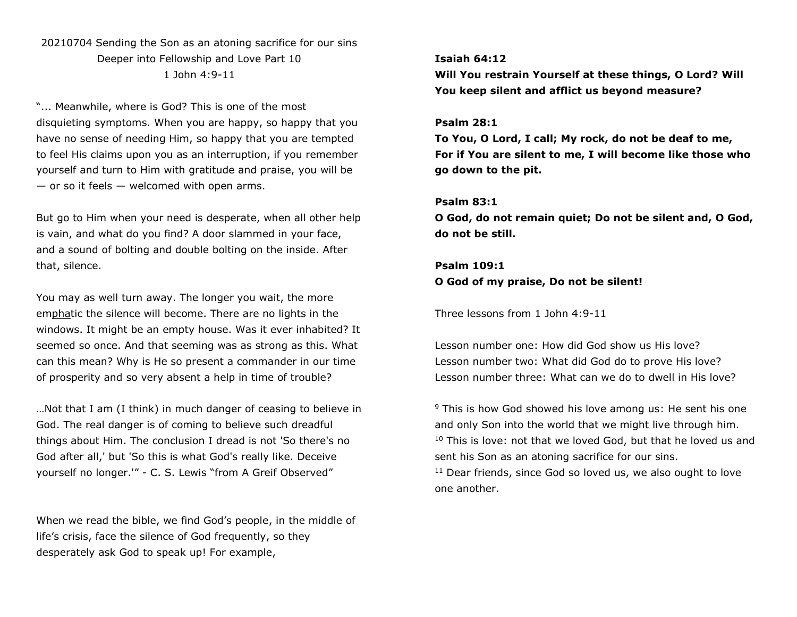# 20210704 Sending the Son as an atoning sacrifice for our sins Deeper into Fellowship and Love Part 10 1 John 4:9-11

"... Meanwhile, where is God? This is one of the most disquieting symptoms. When you are happy, so happy that you have no sense of needing Him, so happy that you are tempted to feel His claims upon you as an interruption, if you remember yourself and turn to Him with gratitude and praise, you will be  $-$  or so it feels  $-$  welcomed with open arms.

But go to Him when your need is desperate, when all other help is vain, and what do you find? A door slammed in your face, and a sound of bolting and double bolting on the inside. After that, silence.

You may as well turn away. The longer you wait, the more emphatic the silence will become. There are no lights in the windows. It might be an empty house. Was it ever inhabited? It seemed so once. And that seeming was as strong as this. What can this mean? Why is He so present a commander in our time of prosperity and so very absent a help in time of trouble?

…Not that I am (I think) in much danger of ceasing to believe in God. The real danger is of coming to believe such dreadful things about Him. The conclusion I dread is not 'So there's no God after all,' but 'So this is what God's really like. Deceive yourself no longer.'" - C. S. Lewis "from A Greif Observed"

When we read the bible, we find God's people, in the middle of life's crisis, face the silence of God frequently, so they desperately ask God to speak up! For example,

# **Isaiah 64:12**

**Will You restrain Yourself at these things, O Lord? Will You keep silent and afflict us beyond measure?**

#### **Psalm 28:1**

**To You, O Lord, I call; My rock, do not be deaf to me, For if You are silent to me, I will become like those who go down to the pit.**

## **Psalm 83:1**

**O God, do not remain quiet; Do not be silent and, O God, do not be still.**

# **Psalm 109:1**

**O God of my praise, Do not be silent!**

Three lessons from 1 John 4:9-11

Lesson number one: How did God show us His love? Lesson number two: What did God do to prove His love? Lesson number three: What can we do to dwell in His love?

<sup>9</sup> This is how God showed his love among us: He sent his one and only Son into the world that we might live through him.  $10$  This is love: not that we loved God, but that he loved us and sent his Son as an atoning sacrifice for our sins.

<sup>11</sup> Dear friends, since God so loved us, we also ought to love one another.